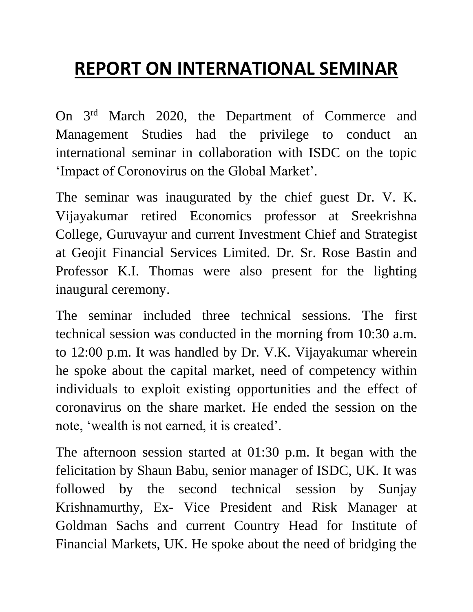## **REPORT ON INTERNATIONAL SEMINAR**

On 3rd March 2020, the Department of Commerce and Management Studies had the privilege to conduct an international seminar in collaboration with ISDC on the topic 'Impact of Coronovirus on the Global Market'.

The seminar was inaugurated by the chief guest Dr. V. K. Vijayakumar retired Economics professor at Sreekrishna College, Guruvayur and current Investment Chief and Strategist at Geojit Financial Services Limited. Dr. Sr. Rose Bastin and Professor K.I. Thomas were also present for the lighting inaugural ceremony.

The seminar included three technical sessions. The first technical session was conducted in the morning from 10:30 a.m. to 12:00 p.m. It was handled by Dr. V.K. Vijayakumar wherein he spoke about the capital market, need of competency within individuals to exploit existing opportunities and the effect of coronavirus on the share market. He ended the session on the note, 'wealth is not earned, it is created'.

The afternoon session started at 01:30 p.m. It began with the felicitation by Shaun Babu, senior manager of ISDC, UK. It was followed by the second technical session by Sunjay Krishnamurthy, Ex- Vice President and Risk Manager at Goldman Sachs and current Country Head for Institute of Financial Markets, UK. He spoke about the need of bridging the